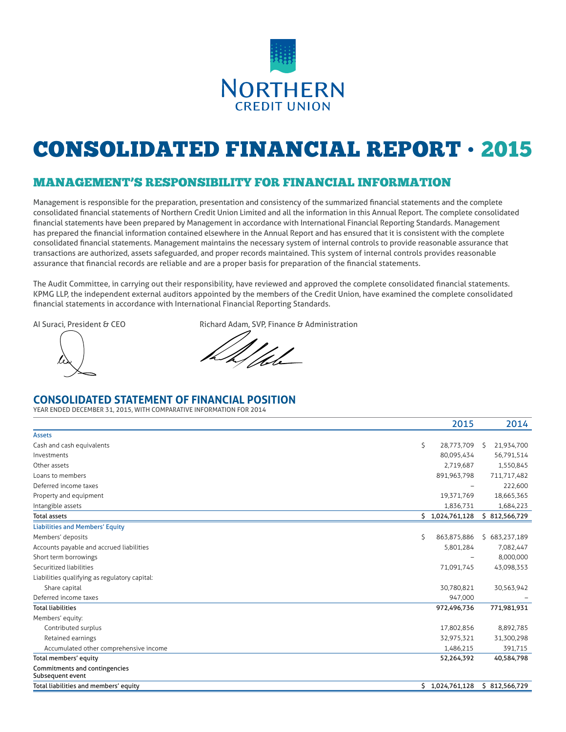

# CONSOLIDATED FINANCIAL REPORT • 2015

# MANAGEMENT'S RESPONSIBILITY FOR FINANCIAL INFORMATION

Management is responsible for the preparation, presentation and consistency of the summarized financial statements and the complete consolidated financial statements of Northern Credit Union Limited and all the information in this Annual Report. The complete consolidated financial statements have been prepared by Management in accordance with International Financial Reporting Standards. Management has prepared the financial information contained elsewhere in the Annual Report and has ensured that it is consistent with the complete consolidated financial statements. Management maintains the necessary system of internal controls to provide reasonable assurance that transactions are authorized, assets safeguarded, and proper records maintained. This system of internal controls provides reasonable assurance that financial records are reliable and are a proper basis for preparation of the financial statements.

The Audit Committee, in carrying out their responsibility, have reviewed and approved the complete consolidated financial statements. KPMG LLP, the independent external auditors appointed by the members of the Credit Union, have examined the complete consolidated financial statements in accordance with International Financial Reporting Standards.

AI Suraci, President & CEO Richard Adam, SVP, Finance & Administration

U

## **CONSOLIDATED STATEMENT OF FINANCIAL POSITION**

YEAR ENDED DECEMBER 31, 2015, WITH COMPARATIVE INFORMATION FOR 2014

|                                                   | 2015              | 2014            |
|---------------------------------------------------|-------------------|-----------------|
| <b>Assets</b>                                     |                   |                 |
| Cash and cash equivalents                         | \$<br>28,773,709  | 21,934,700<br>S |
| Investments                                       | 80,095,434        | 56,791,514      |
| Other assets                                      | 2,719,687         | 1,550,845       |
| Loans to members                                  | 891,963,798       | 711,717,482     |
| Deferred income taxes                             |                   | 222,600         |
| Property and equipment                            | 19,371,769        | 18,665,365      |
| Intangible assets                                 | 1,836,731         | 1,684,223       |
| <b>Total assets</b>                               | \$1,024,761,128   | \$812,566,729   |
| <b>Liabilities and Members' Equity</b>            |                   |                 |
| Members' deposits                                 | \$<br>863,875,886 | \$683,237,189   |
| Accounts payable and accrued liabilities          | 5,801,284         | 7,082,447       |
| Short term borrowings                             |                   | 8,000,000       |
| Securitized liabilities                           | 71,091,745        | 43,098,353      |
| Liabilities qualifying as regulatory capital:     |                   |                 |
| Share capital                                     | 30,780,821        | 30,563,942      |
| Deferred income taxes                             | 947,000           |                 |
| <b>Total liabilities</b>                          | 972,496,736       | 771,981,931     |
| Members' equity:                                  |                   |                 |
| Contributed surplus                               | 17,802,856        | 8,892,785       |
| Retained earnings                                 | 32,975,321        | 31,300,298      |
| Accumulated other comprehensive income            | 1,486,215         | 391,715         |
| Total members' equity                             | 52,264,392        | 40,584,798      |
| Commitments and contingencies<br>Subsequent event |                   |                 |
| Total liabilities and members' equity             | \$1,024,761,128   | \$812,566,729   |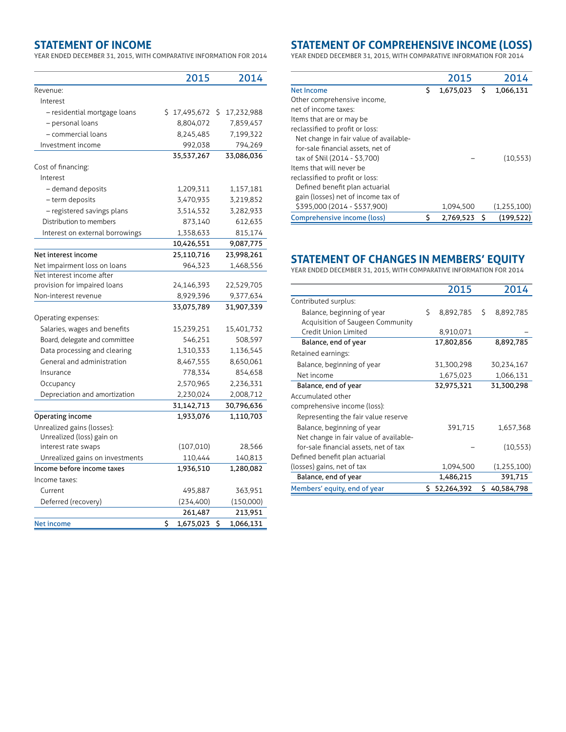## **STATEMENT OF INCOME**

YEAR ENDED DECEMBER 31, 2015, WITH COMPARATIVE INFORMATION FOR 2014

|                                 | 2015                   | 2014             |  |
|---------------------------------|------------------------|------------------|--|
| Revenue:                        |                        |                  |  |
| Interest                        |                        |                  |  |
| - residential mortgage loans    | \$17,495,672           | \$<br>17,232,988 |  |
| - personal loans                | 8,804,072              | 7,859,457        |  |
| - commercial loans              | 8,245,485              | 7,199,322        |  |
| Investment income               | 992,038                | 794,269          |  |
|                                 | 35,537,267             | 33,086,036       |  |
| Cost of financing:              |                        |                  |  |
| Interest                        |                        |                  |  |
| - demand deposits               | 1,209,311              | 1,157,181        |  |
| - term deposits                 | 3,470,935              | 3,219,852        |  |
| - registered savings plans      | 3,514,532              | 3,282,933        |  |
| Distribution to members         | 873,140                | 612,635          |  |
| Interest on external borrowings | 1,358,633              | 815,174          |  |
|                                 | 10,426,551             | 9,087,775        |  |
| Net interest income             | 25,110,716             | 23,998,261       |  |
| Net impairment loss on loans    | 964,323                | 1,468,556        |  |
| Net interest income after       |                        |                  |  |
| provision for impaired loans    | 24,146,393             | 22,529,705       |  |
| Non-interest revenue            | 8,929,396              | 9,377,634        |  |
|                                 | 33,075,789             | 31,907,339       |  |
| Operating expenses:             |                        |                  |  |
| Salaries, wages and benefits    | 15,239,251             | 15,401,732       |  |
| Board, delegate and committee   | 546,251                | 508,597          |  |
| Data processing and clearing    | 1,310,333<br>1,136,545 |                  |  |
| General and administration      | 8,467,555<br>8,650,061 |                  |  |
| Insurance                       | 778,334<br>854,658     |                  |  |
| Occupancy                       | 2,570,965<br>2,236,331 |                  |  |
| Depreciation and amortization   | 2,230,024              | 2,008,712        |  |
|                                 | 31,142,713             | 30,796,636       |  |
| Operating income                | 1,933,076              | 1,110,703        |  |
| Unrealized gains (losses):      |                        |                  |  |
| Unrealized (loss) gain on       |                        |                  |  |
| interest rate swaps             | (107,010)              | 28,566           |  |
| Unrealized gains on investments | 110,444                | 140,813          |  |
| Income before income taxes      | 1,936,510              | 1,280,082        |  |
| Income taxes:                   |                        |                  |  |
| Current                         | 495,887                | 363,951          |  |
| Deferred (recovery)             | (234,400)              | (150,000)        |  |
|                                 | 261,487                | 213,951          |  |
| <b>Net income</b>               | \$<br>1,675,023        | 1,066,131<br>\$  |  |

## **STATEMENT OF COMPREHENSIVE INCOME (LOSS)**

YEAR ENDED DECEMBER 31, 2015, WITH COMPARATIVE INFORMATION FOR 2014

|                                        |    | 2015      |   | 2014        |
|----------------------------------------|----|-----------|---|-------------|
| Net Income                             | Ś  | 1,675,023 | Ś | 1,066,131   |
| Other comprehensive income,            |    |           |   |             |
| net of income taxes:                   |    |           |   |             |
| Items that are or may be               |    |           |   |             |
| reclassified to profit or loss:        |    |           |   |             |
| Net change in fair value of available- |    |           |   |             |
| for-sale financial assets, net of      |    |           |   |             |
| tax of \$Nil (2014 - \$3,700)          |    |           |   | (10, 553)   |
| Items that will never be               |    |           |   |             |
| reclassified to profit or loss:        |    |           |   |             |
| Defined benefit plan actuarial         |    |           |   |             |
| gain (losses) net of income tax of     |    |           |   |             |
| \$395,000 (2014 - \$537,900)           |    | 1,094,500 |   | (1,255,100) |
| Comprehensive income (loss)            | \$ | 2.769.523 | Ś | (199.522)   |

## **STATEMENT OF CHANGES IN MEMBERS' EQUITY**

YEAR ENDED DECEMBER 31, 2015, WITH COMPARATIVE INFORMATION FOR 2014

|                                        |    | 2015         |    | 2014         |
|----------------------------------------|----|--------------|----|--------------|
| Contributed surplus:                   |    |              |    |              |
| Balance, beginning of year             | Ś. | 8,892,785    | Ŝ. | 8,892,785    |
| Acquisition of Saugeen Community       |    |              |    |              |
| Credit Union Limited                   |    | 8,910,071    |    |              |
| Balance, end of year                   |    | 17,802,856   |    | 8,892,785    |
| Retained earnings:                     |    |              |    |              |
| Balance, beginning of year             |    | 31,300,298   |    | 30,234,167   |
| Net income                             |    | 1,675,023    |    | 1,066,131    |
| Balance, end of year                   |    | 32,975,321   |    | 31,300,298   |
| Accumulated other                      |    |              |    |              |
| comprehensive income (loss):           |    |              |    |              |
| Representing the fair value reserve    |    |              |    |              |
| Balance, beginning of year             |    | 391,715      |    | 1,657,368    |
| Net change in fair value of available- |    |              |    |              |
| for-sale financial assets, net of tax  |    |              |    | (10, 553)    |
| Defined benefit plan actuarial         |    |              |    |              |
| (losses) gains, net of tax             |    | 1,094,500    |    | (1,255,100)  |
| Balance, end of year                   |    | 1,486,215    |    | 391,715      |
| Members' equity, end of year           |    | \$52,264,392 |    | \$40,584,798 |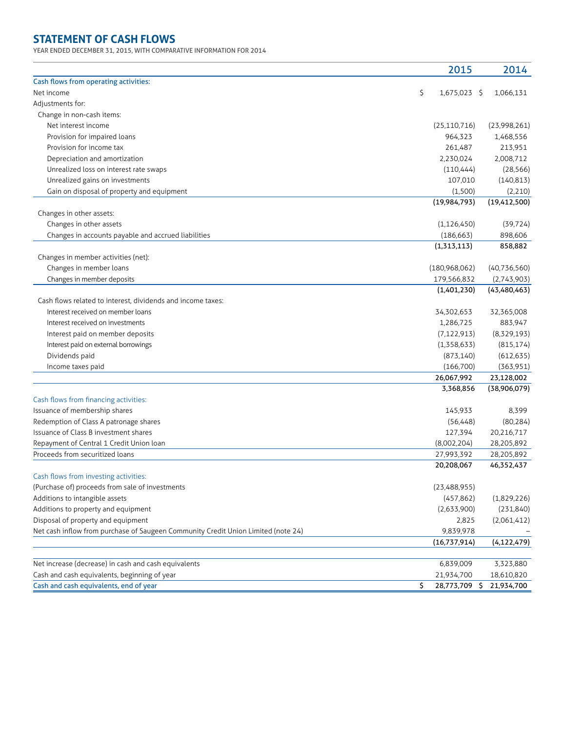# **STATEMENT OF CASH FLOWS**

YEAR ENDED DECEMBER 31, 2015, WITH COMPARATIVE INFORMATION FOR 2014

|                                                                                   | 2015                    | 2014                          |         |
|-----------------------------------------------------------------------------------|-------------------------|-------------------------------|---------|
| Cash flows from operating activities:                                             |                         |                               |         |
| Net income                                                                        | \$<br>1,675,023 \$      | 1,066,131                     |         |
| Adjustments for:                                                                  |                         |                               |         |
| Change in non-cash items:                                                         |                         |                               |         |
| Net interest income                                                               | (25, 110, 716)          | (23,998,261)                  |         |
| Provision for impaired loans                                                      | 964,323                 | 1,468,556                     |         |
| Provision for income tax                                                          | 261,487                 | 213,951                       |         |
| Depreciation and amortization                                                     | 2,230,024               | 2,008,712                     |         |
| Unrealized loss on interest rate swaps                                            | (110, 444)              | (28, 566)                     |         |
| Unrealized gains on investments                                                   | 107,010                 | (140, 813)                    |         |
| Gain on disposal of property and equipment                                        | (1,500)                 |                               | (2,210) |
|                                                                                   | (19,984,793)            | (19,412,500)                  |         |
| Changes in other assets:                                                          |                         |                               |         |
| Changes in other assets                                                           | (1, 126, 450)           | (39, 724)                     |         |
| Changes in accounts payable and accrued liabilities                               | (186, 663)              | 898,606                       |         |
| Changes in member activities (net):                                               | (1,313,113)             | 858,882                       |         |
| Changes in member loans                                                           | (180,968,062)           | (40,736,560)                  |         |
| Changes in member deposits                                                        |                         |                               |         |
|                                                                                   | 179,566,832             | (2,743,903)<br>(43, 480, 463) |         |
| Cash flows related to interest, dividends and income taxes:                       | (1,401,230)             |                               |         |
| Interest received on member loans                                                 | 34,302,653              | 32,365,008                    |         |
| Interest received on investments                                                  | 1,286,725               | 883,947                       |         |
|                                                                                   |                         |                               |         |
| Interest paid on member deposits                                                  | (7, 122, 913)           | (8,329,193)                   |         |
| Interest paid on external borrowings                                              | (1,358,633)             | (815, 174)                    |         |
| Dividends paid                                                                    | (873, 140)              | (612, 635)                    |         |
| Income taxes paid                                                                 | (166,700)               | (363,951)                     |         |
|                                                                                   | 26,067,992<br>3,368,856 | 23,128,002<br>(38,906,079)    |         |
| Cash flows from financing activities:                                             |                         |                               |         |
| Issuance of membership shares                                                     | 145,933                 |                               | 8,399   |
| Redemption of Class A patronage shares                                            | (56, 448)               | (80, 284)                     |         |
| Issuance of Class B investment shares                                             | 127,394                 | 20,216,717                    |         |
| Repayment of Central 1 Credit Union loan                                          | (8,002,204)             | 28,205,892                    |         |
| Proceeds from securitized loans                                                   | 27,993,392              | 28,205,892                    |         |
|                                                                                   | 20,208,067              | 46,352,437                    |         |
| Cash flows from investing activities:                                             |                         |                               |         |
| (Purchase of) proceeds from sale of investments                                   | (23,488,955)            |                               |         |
| Additions to intangible assets                                                    | (457, 862)              | (1,829,226)                   |         |
| Additions to property and equipment                                               | (2,633,900)             | (231, 840)                    |         |
| Disposal of property and equipment                                                | 2,825                   | (2,061,412)                   |         |
| Net cash inflow from purchase of Saugeen Community Credit Union Limited (note 24) | 9,839,978               |                               |         |
|                                                                                   | (16,737,914)            | (4, 122, 479)                 |         |
|                                                                                   |                         |                               |         |
| Net increase (decrease) in cash and cash equivalents                              | 6,839,009               | 3,323,880                     |         |
| Cash and cash equivalents, beginning of year                                      | 21,934,700              | 18,610,820                    |         |
| Cash and cash equivalents, end of year                                            | \$<br>28,773,709 \$     | 21,934,700                    |         |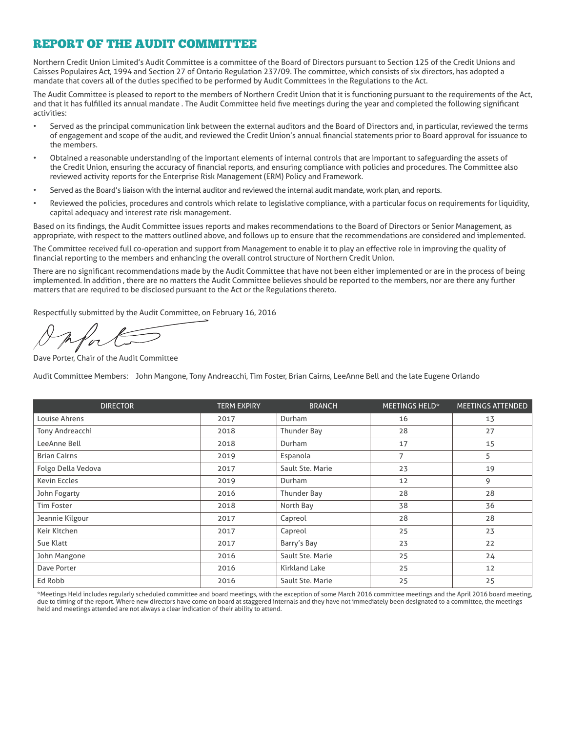## REPORT OF THE AUDIT COMMITTEE

Northern Credit Union Limited's Audit Committee is a committee of the Board of Directors pursuant to Section 125 of the Credit Unions and Caisses Populaires Act, 1994 and Section 27 of Ontario Regulation 237/09. The committee, which consists of six directors, has adopted a mandate that covers all of the duties specified to be performed by Audit Committees in the Regulations to the Act.

The Audit Committee is pleased to report to the members of Northern Credit Union that it is functioning pursuant to the requirements of the Act, and that it has fulfilled its annual mandate . The Audit Committee held five meetings during the year and completed the following significant activities:

- Served as the principal communication link between the external auditors and the Board of Directors and, in particular, reviewed the terms of engagement and scope of the audit, and reviewed the Credit Union's annual financial statements prior to Board approval for issuance to the members.
- Obtained a reasonable understanding of the important elements of internal controls that are important to safeguarding the assets of the Credit Union, ensuring the accuracy of financial reports, and ensuring compliance with policies and procedures. The Committee also reviewed activity reports for the Enterprise Risk Management (ERM) Policy and Framework.
- Served as the Board's liaison with the internal auditor and reviewed the internal audit mandate, work plan, and reports.
- Reviewed the policies, procedures and controls which relate to legislative compliance, with a particular focus on requirements for liquidity, capital adequacy and interest rate risk management.

Based on its findings, the Audit Committee issues reports and makes recommendations to the Board of Directors or Senior Management, as appropriate, with respect to the matters outlined above, and follows up to ensure that the recommendations are considered and implemented.

The Committee received full co-operation and support from Management to enable it to play an effective role in improving the quality of financial reporting to the members and enhancing the overall control structure of Northern Credit Union.

There are no significant recommendations made by the Audit Committee that have not been either implemented or are in the process of being implemented. In addition , there are no matters the Audit Committee believes should be reported to the members, nor are there any further matters that are required to be disclosed pursuant to the Act or the Regulations thereto.

Respectfully submitted by the Audit Committee, on February 16, 2016

Dave Porter, Chair of the Audit Committee

Audit Committee Members: John Mangone, Tony Andreacchi, Tim Foster, Brian Cairns, LeeAnne Bell and the late Eugene Orlando

| <b>DIRECTOR</b>     | <b>TERM EXPIRY</b> | <b>BRANCH</b>    | MEETINGS HELD* | <b>MEETINGS ATTENDED</b> |
|---------------------|--------------------|------------------|----------------|--------------------------|
| Louise Ahrens       | 2017               | Durham           | 16             | 13                       |
| Tony Andreacchi     | 2018               | Thunder Bay      | 28             | 27                       |
| LeeAnne Bell        | 2018               | Durham           | 17             | 15                       |
| <b>Brian Cairns</b> | 2019               | Espanola         | 7              | 5                        |
| Folgo Della Vedova  | 2017               | Sault Ste. Marie | 23             | 19                       |
| <b>Kevin Eccles</b> | 2019               | Durham           | 12             | 9                        |
| John Fogarty        | 2016               | Thunder Bay      | 28             | 28                       |
| <b>Tim Foster</b>   | 2018               | North Bay        | 38             | 36                       |
| Jeannie Kilgour     | 2017               | Capreol          | 28             | 28                       |
| Keir Kitchen        | 2017               | Capreol          | 25             | 23                       |
| Sue Klatt           | 2017               | Barry's Bay      | 23             | 22                       |
| John Mangone        | 2016               | Sault Ste. Marie | 25             | 24                       |
| Dave Porter         | 2016               | Kirkland Lake    | 25             | 12                       |
| Ed Robb             | 2016               | Sault Ste. Marie | 25             | 25                       |

\*Meetings Held includes regularly scheduled committee and board meetings, with the exception of some March 2016 committee meetings and the April 2016 board meeting, due to timing of the report. Where new directors have come on board at staggered internals and they have not immediately been designated to a committee, the meetings held and meetings attended are not always a clear indication of their ability to attend.